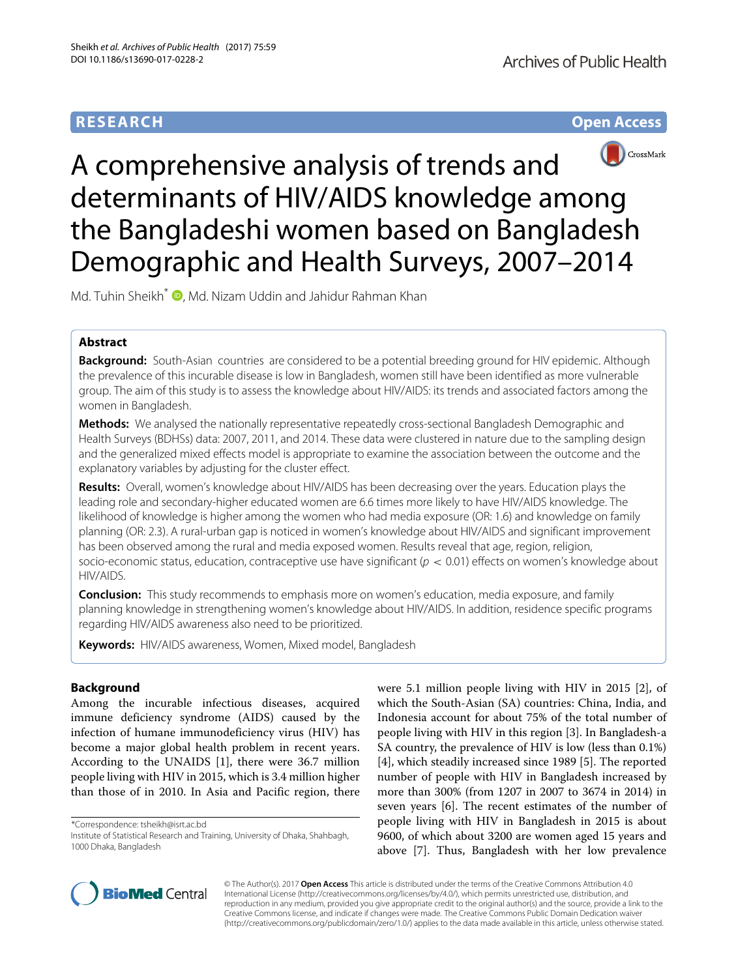## **RESEARCH Open Access**



# A comprehensive analysis of trends and determinants of HIV/AIDS knowledge among the Bangladeshi women based on Bangladesh Demographic and Health Surveys, 2007–2014

Md. Tuhin Sheikh<sup>\*</sup> <sup>1</sup>[,](http://orcid.org/0000-0002-8513-1899) Md. Nizam Uddin and Jahidur Rahman Khan

## **Abstract**

**Background:** South-Asian countries are considered to be a potential breeding ground for HIV epidemic. Although the prevalence of this incurable disease is low in Bangladesh, women still have been identified as more vulnerable group. The aim of this study is to assess the knowledge about HIV/AIDS: its trends and associated factors among the women in Bangladesh.

**Methods:** We analysed the nationally representative repeatedly cross-sectional Bangladesh Demographic and Health Surveys (BDHSs) data: 2007, 2011, and 2014. These data were clustered in nature due to the sampling design and the generalized mixed effects model is appropriate to examine the association between the outcome and the explanatory variables by adjusting for the cluster effect.

**Results:** Overall, women's knowledge about HIV/AIDS has been decreasing over the years. Education plays the leading role and secondary-higher educated women are 6.6 times more likely to have HIV/AIDS knowledge. The likelihood of knowledge is higher among the women who had media exposure (OR: 1.6) and knowledge on family planning (OR: 2.3). A rural-urban gap is noticed in women's knowledge about HIV/AIDS and significant improvement has been observed among the rural and media exposed women. Results reveal that age, region, religion, socio-economic status, education, contraceptive use have significant ( $p < 0.01$ ) effects on women's knowledge about HIV/AIDS.

**Conclusion:** This study recommends to emphasis more on women's education, media exposure, and family planning knowledge in strengthening women's knowledge about HIV/AIDS. In addition, residence specific programs regarding HIV/AIDS awareness also need to be prioritized.

**Keywords:** HIV/AIDS awareness, Women, Mixed model, Bangladesh

## **Background**

Among the incurable infectious diseases, acquired immune deficiency syndrome (AIDS) caused by the infection of humane immunodeficiency virus (HIV) has become a major global health problem in recent years. According to the UNAIDS [\[1\]](#page-9-0), there were 36.7 million people living with HIV in 2015, which is 3.4 million higher than those of in 2010. In Asia and Pacific region, there

\*Correspondence: [tsheikh@isrt.ac.bd](mailto: tsheikh@isrt.ac.bd)

were 5.1 million people living with HIV in 2015 [\[2\]](#page-9-1), of which the South-Asian (SA) countries: China, India, and Indonesia account for about 75% of the total number of people living with HIV in this region [\[3\]](#page-9-2). In Bangladesh-a SA country, the prevalence of HIV is low (less than 0.1%) [\[4\]](#page-9-3), which steadily increased since 1989 [\[5\]](#page-9-4). The reported number of people with HIV in Bangladesh increased by more than 300% (from 1207 in 2007 to 3674 in 2014) in seven years [\[6\]](#page-9-5). The recent estimates of the number of people living with HIV in Bangladesh in 2015 is about 9600, of which about 3200 are women aged 15 years and above [\[7\]](#page-9-6). Thus, Bangladesh with her low prevalence



© The Author(s). 2017 **Open Access** This article is distributed under the terms of the Creative Commons Attribution 4.0 International License [\(http://creativecommons.org/licenses/by/4.0/\)](http://creativecommons.org/licenses/by/4.0/), which permits unrestricted use, distribution, and reproduction in any medium, provided you give appropriate credit to the original author(s) and the source, provide a link to the Creative Commons license, and indicate if changes were made. The Creative Commons Public Domain Dedication waiver [\(http://creativecommons.org/publicdomain/zero/1.0/\)](http://creativecommons.org/publicdomain/zero/1.0/) applies to the data made available in this article, unless otherwise stated.

Institute of Statistical Research and Training, University of Dhaka, Shahbagh, 1000 Dhaka, Bangladesh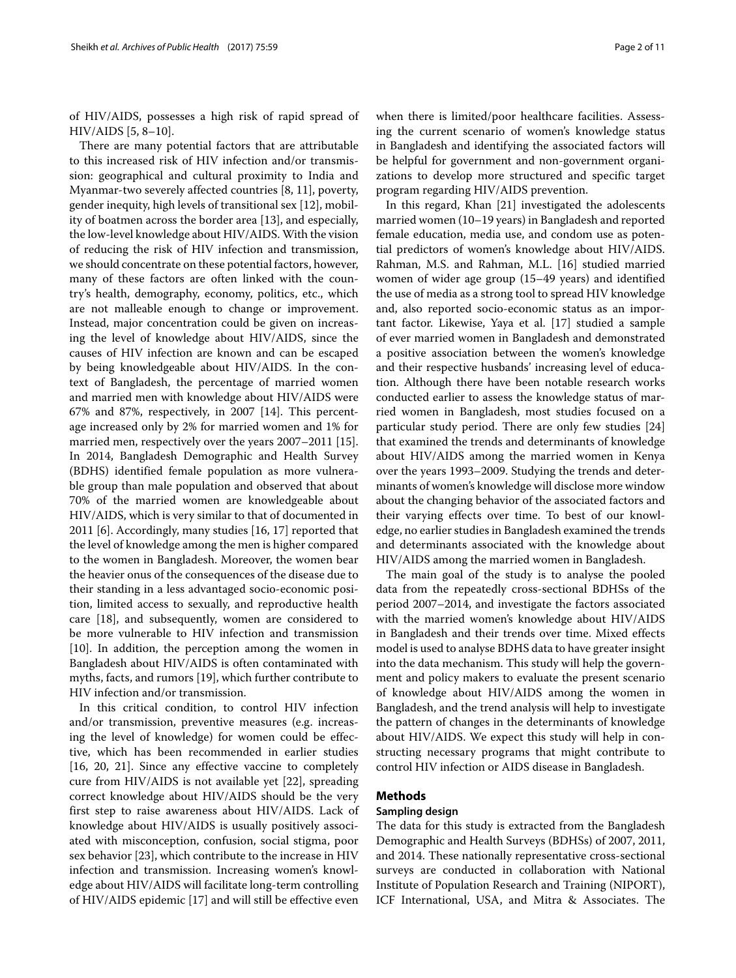of HIV/AIDS, possesses a high risk of rapid spread of HIV/AIDS [\[5,](#page-9-4) [8–](#page-9-7)[10\]](#page-9-8).

There are many potential factors that are attributable to this increased risk of HIV infection and/or transmission: geographical and cultural proximity to India and Myanmar-two severely affected countries [\[8,](#page-9-7) [11\]](#page-9-9), poverty, gender inequity, high levels of transitional sex [\[12\]](#page-9-10), mobility of boatmen across the border area [\[13\]](#page-9-11), and especially, the low-level knowledge about HIV/AIDS. With the vision of reducing the risk of HIV infection and transmission, we should concentrate on these potential factors, however, many of these factors are often linked with the country's health, demography, economy, politics, etc., which are not malleable enough to change or improvement. Instead, major concentration could be given on increasing the level of knowledge about HIV/AIDS, since the causes of HIV infection are known and can be escaped by being knowledgeable about HIV/AIDS. In the context of Bangladesh, the percentage of married women and married men with knowledge about HIV/AIDS were 67% and 87%, respectively, in 2007 [\[14\]](#page-9-12). This percentage increased only by 2% for married women and 1% for married men, respectively over the years 2007–2011 [\[15\]](#page-9-13). In 2014, Bangladesh Demographic and Health Survey (BDHS) identified female population as more vulnerable group than male population and observed that about 70% of the married women are knowledgeable about HIV/AIDS, which is very similar to that of documented in 2011 [\[6\]](#page-9-5). Accordingly, many studies [\[16,](#page-9-14) [17\]](#page-9-15) reported that the level of knowledge among the men is higher compared to the women in Bangladesh. Moreover, the women bear the heavier onus of the consequences of the disease due to their standing in a less advantaged socio-economic position, limited access to sexually, and reproductive health care [\[18\]](#page-9-16), and subsequently, women are considered to be more vulnerable to HIV infection and transmission [\[10\]](#page-9-8). In addition, the perception among the women in Bangladesh about HIV/AIDS is often contaminated with myths, facts, and rumors [\[19\]](#page-9-17), which further contribute to HIV infection and/or transmission.

In this critical condition, to control HIV infection and/or transmission, preventive measures (e.g. increasing the level of knowledge) for women could be effective, which has been recommended in earlier studies [\[16,](#page-9-14) [20,](#page-9-18) [21\]](#page-9-19). Since any effective vaccine to completely cure from HIV/AIDS is not available yet [\[22\]](#page-9-20), spreading correct knowledge about HIV/AIDS should be the very first step to raise awareness about HIV/AIDS. Lack of knowledge about HIV/AIDS is usually positively associated with misconception, confusion, social stigma, poor sex behavior [\[23\]](#page-9-21), which contribute to the increase in HIV infection and transmission. Increasing women's knowledge about HIV/AIDS will facilitate long-term controlling of HIV/AIDS epidemic [\[17\]](#page-9-15) and will still be effective even

when there is limited/poor healthcare facilities. Assessing the current scenario of women's knowledge status in Bangladesh and identifying the associated factors will be helpful for government and non-government organizations to develop more structured and specific target program regarding HIV/AIDS prevention.

In this regard, Khan [\[21\]](#page-9-19) investigated the adolescents married women (10–19 years) in Bangladesh and reported female education, media use, and condom use as potential predictors of women's knowledge about HIV/AIDS. Rahman, M.S. and Rahman, M.L. [\[16\]](#page-9-14) studied married women of wider age group (15–49 years) and identified the use of media as a strong tool to spread HIV knowledge and, also reported socio-economic status as an important factor. Likewise, Yaya et al. [\[17\]](#page-9-15) studied a sample of ever married women in Bangladesh and demonstrated a positive association between the women's knowledge and their respective husbands' increasing level of education. Although there have been notable research works conducted earlier to assess the knowledge status of married women in Bangladesh, most studies focused on a particular study period. There are only few studies [\[24\]](#page-9-22) that examined the trends and determinants of knowledge about HIV/AIDS among the married women in Kenya over the years 1993–2009. Studying the trends and determinants of women's knowledge will disclose more window about the changing behavior of the associated factors and their varying effects over time. To best of our knowledge, no earlier studies in Bangladesh examined the trends and determinants associated with the knowledge about HIV/AIDS among the married women in Bangladesh.

The main goal of the study is to analyse the pooled data from the repeatedly cross-sectional BDHSs of the period 2007–2014, and investigate the factors associated with the married women's knowledge about HIV/AIDS in Bangladesh and their trends over time. Mixed effects model is used to analyse BDHS data to have greater insight into the data mechanism. This study will help the government and policy makers to evaluate the present scenario of knowledge about HIV/AIDS among the women in Bangladesh, and the trend analysis will help to investigate the pattern of changes in the determinants of knowledge about HIV/AIDS. We expect this study will help in constructing necessary programs that might contribute to control HIV infection or AIDS disease in Bangladesh.

## **Methods**

#### **Sampling design**

The data for this study is extracted from the Bangladesh Demographic and Health Surveys (BDHSs) of 2007, 2011, and 2014. These nationally representative cross-sectional surveys are conducted in collaboration with National Institute of Population Research and Training (NIPORT), ICF International, USA, and Mitra & Associates. The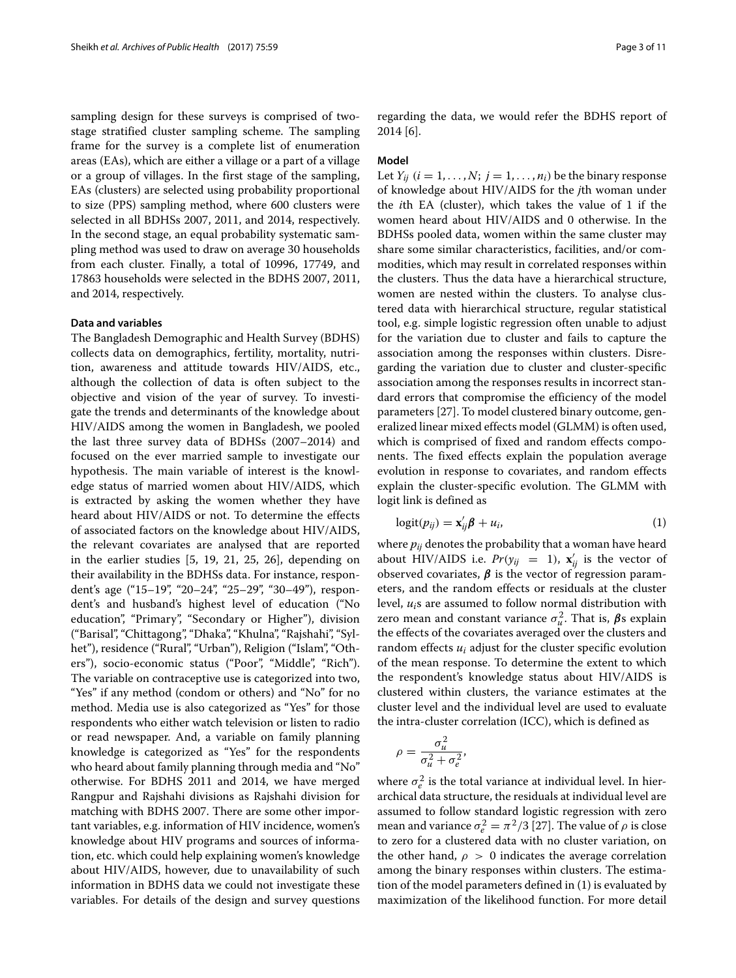sampling design for these surveys is comprised of twostage stratified cluster sampling scheme. The sampling frame for the survey is a complete list of enumeration areas (EAs), which are either a village or a part of a village or a group of villages. In the first stage of the sampling, EAs (clusters) are selected using probability proportional to size (PPS) sampling method, where 600 clusters were selected in all BDHSs 2007, 2011, and 2014, respectively. In the second stage, an equal probability systematic sampling method was used to draw on average 30 households from each cluster. Finally, a total of 10996, 17749, and 17863 households were selected in the BDHS 2007, 2011, and 2014, respectively.

## **Data and variables**

The Bangladesh Demographic and Health Survey (BDHS) collects data on demographics, fertility, mortality, nutrition, awareness and attitude towards HIV/AIDS, etc., although the collection of data is often subject to the objective and vision of the year of survey. To investigate the trends and determinants of the knowledge about HIV/AIDS among the women in Bangladesh, we pooled the last three survey data of BDHSs (2007–2014) and focused on the ever married sample to investigate our hypothesis. The main variable of interest is the knowledge status of married women about HIV/AIDS, which is extracted by asking the women whether they have heard about HIV/AIDS or not. To determine the effects of associated factors on the knowledge about HIV/AIDS, the relevant covariates are analysed that are reported in the earlier studies [\[5,](#page-9-4) [19,](#page-9-17) [21,](#page-9-19) [25,](#page-10-0) [26\]](#page-10-1), depending on their availability in the BDHSs data. For instance, respondent's age ("15–19", "20–24", "25–29", "30–49"), respondent's and husband's highest level of education ("No education", "Primary", "Secondary or Higher"), division ("Barisal", "Chittagong", "Dhaka", "Khulna", "Rajshahi", "Sylhet"), residence ("Rural", "Urban"), Religion ("Islam", "Others"), socio-economic status ("Poor", "Middle", "Rich"). The variable on contraceptive use is categorized into two, "Yes" if any method (condom or others) and "No" for no method. Media use is also categorized as "Yes" for those respondents who either watch television or listen to radio or read newspaper. And, a variable on family planning knowledge is categorized as "Yes" for the respondents who heard about family planning through media and "No" otherwise. For BDHS 2011 and 2014, we have merged Rangpur and Rajshahi divisions as Rajshahi division for matching with BDHS 2007. There are some other important variables, e.g. information of HIV incidence, women's knowledge about HIV programs and sources of information, etc. which could help explaining women's knowledge about HIV/AIDS, however, due to unavailability of such information in BDHS data we could not investigate these variables. For details of the design and survey questions regarding the data, we would refer the BDHS report of 2014 [\[6\]](#page-9-5).

## **Model**

Let  $Y_{ij}$  ( $i = 1, \ldots, N; j = 1, \ldots, n_i$ ) be the binary response of knowledge about HIV/AIDS for the *j*th woman under the *i*th EA (cluster), which takes the value of 1 if the women heard about HIV/AIDS and 0 otherwise. In the BDHSs pooled data, women within the same cluster may share some similar characteristics, facilities, and/or commodities, which may result in correlated responses within the clusters. Thus the data have a hierarchical structure, women are nested within the clusters. To analyse clustered data with hierarchical structure, regular statistical tool, e.g. simple logistic regression often unable to adjust for the variation due to cluster and fails to capture the association among the responses within clusters. Disregarding the variation due to cluster and cluster-specific association among the responses results in incorrect standard errors that compromise the efficiency of the model parameters [\[27\]](#page-10-2). To model clustered binary outcome, generalized linear mixed effects model (GLMM) is often used, which is comprised of fixed and random effects components. The fixed effects explain the population average evolution in response to covariates, and random effects explain the cluster-specific evolution. The GLMM with logit link is defined as

<span id="page-2-0"></span>
$$
logit(p_{ij}) = \mathbf{x}'_{ij}\boldsymbol{\beta} + u_i,
$$
\n(1)

where *pij* denotes the probability that a woman have heard about HIV/AIDS i.e.  $Pr(y_{ij} = 1)$ ,  $\mathbf{x}'_{ij}$  is the vector of observed covariates,  $\beta$  is the vector of regression parameters, and the random effects or residuals at the cluster level, *ui*s are assumed to follow normal distribution with zero mean and constant variance  $σ<sub>u</sub><sup>2</sup>$ . That is,  $β$ s explain the effects of the covariates averaged over the clusters and random effects  $u_i$  adjust for the cluster specific evolution of the mean response. To determine the extent to which the respondent's knowledge status about HIV/AIDS is clustered within clusters, the variance estimates at the cluster level and the individual level are used to evaluate the intra-cluster correlation (ICC), which is defined as

$$
\rho = \frac{\sigma_u^2}{\sigma_u^2 + \sigma_e^2},
$$

where  $\sigma_e^2$  is the total variance at individual level. In hierarchical data structure, the residuals at individual level are assumed to follow standard logistic regression with zero mean and variance  $\sigma_e^2 = \pi^2/3$  [\[27\]](#page-10-2). The value of  $\rho$  is close to zero for a clustered data with no cluster variation, on the other hand,  $\rho > 0$  indicates the average correlation among the binary responses within clusters. The estimation of the model parameters defined in [\(1\)](#page-2-0) is evaluated by maximization of the likelihood function. For more detail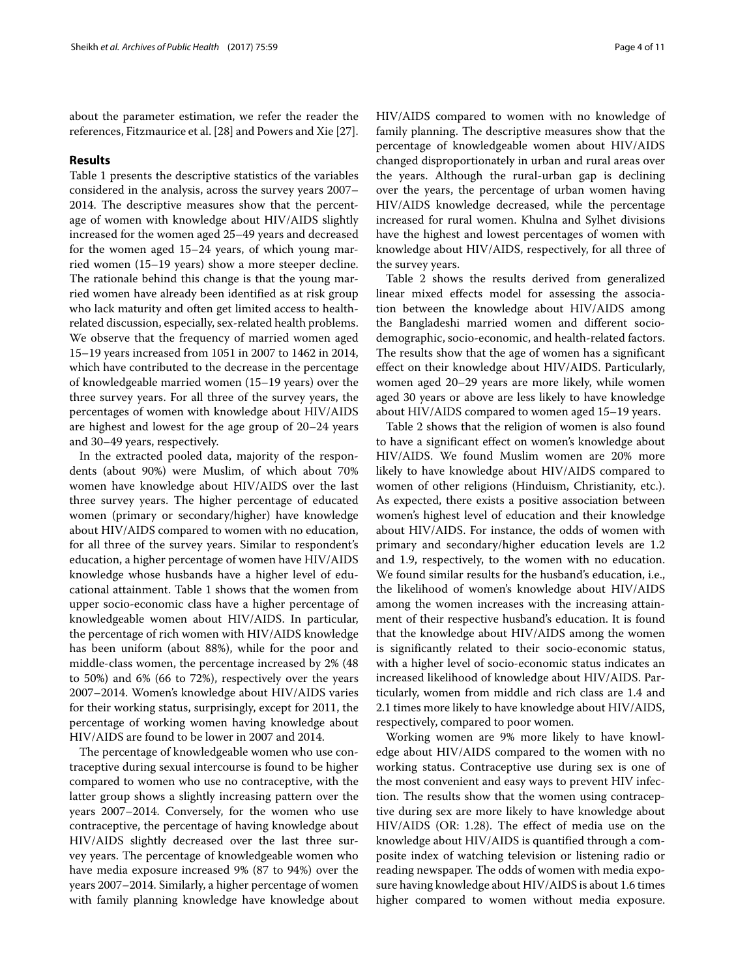about the parameter estimation, we refer the reader the references, Fitzmaurice et al. [\[28\]](#page-10-3) and Powers and Xie [\[27\]](#page-10-2).

## **Results**

Table [1](#page-4-0) presents the descriptive statistics of the variables considered in the analysis, across the survey years 2007– 2014. The descriptive measures show that the percentage of women with knowledge about HIV/AIDS slightly increased for the women aged 25–49 years and decreased for the women aged 15–24 years, of which young married women (15–19 years) show a more steeper decline. The rationale behind this change is that the young married women have already been identified as at risk group who lack maturity and often get limited access to healthrelated discussion, especially, sex-related health problems. We observe that the frequency of married women aged 15–19 years increased from 1051 in 2007 to 1462 in 2014, which have contributed to the decrease in the percentage of knowledgeable married women (15–19 years) over the three survey years. For all three of the survey years, the percentages of women with knowledge about HIV/AIDS are highest and lowest for the age group of 20–24 years and 30–49 years, respectively.

In the extracted pooled data, majority of the respondents (about 90%) were Muslim, of which about 70% women have knowledge about HIV/AIDS over the last three survey years. The higher percentage of educated women (primary or secondary/higher) have knowledge about HIV/AIDS compared to women with no education, for all three of the survey years. Similar to respondent's education, a higher percentage of women have HIV/AIDS knowledge whose husbands have a higher level of educational attainment. Table [1](#page-4-0) shows that the women from upper socio-economic class have a higher percentage of knowledgeable women about HIV/AIDS. In particular, the percentage of rich women with HIV/AIDS knowledge has been uniform (about 88%), while for the poor and middle-class women, the percentage increased by 2% (48 to 50%) and 6% (66 to 72%), respectively over the years 2007–2014. Women's knowledge about HIV/AIDS varies for their working status, surprisingly, except for 2011, the percentage of working women having knowledge about HIV/AIDS are found to be lower in 2007 and 2014.

The percentage of knowledgeable women who use contraceptive during sexual intercourse is found to be higher compared to women who use no contraceptive, with the latter group shows a slightly increasing pattern over the years 2007–2014. Conversely, for the women who use contraceptive, the percentage of having knowledge about HIV/AIDS slightly decreased over the last three survey years. The percentage of knowledgeable women who have media exposure increased 9% (87 to 94%) over the years 2007–2014. Similarly, a higher percentage of women with family planning knowledge have knowledge about

HIV/AIDS compared to women with no knowledge of family planning. The descriptive measures show that the percentage of knowledgeable women about HIV/AIDS changed disproportionately in urban and rural areas over the years. Although the rural-urban gap is declining over the years, the percentage of urban women having HIV/AIDS knowledge decreased, while the percentage increased for rural women. Khulna and Sylhet divisions have the highest and lowest percentages of women with knowledge about HIV/AIDS, respectively, for all three of the survey years.

Table [2](#page-5-0) shows the results derived from generalized linear mixed effects model for assessing the association between the knowledge about HIV/AIDS among the Bangladeshi married women and different sociodemographic, socio-economic, and health-related factors. The results show that the age of women has a significant effect on their knowledge about HIV/AIDS. Particularly, women aged 20–29 years are more likely, while women aged 30 years or above are less likely to have knowledge about HIV/AIDS compared to women aged 15–19 years.

Table [2](#page-5-0) shows that the religion of women is also found to have a significant effect on women's knowledge about HIV/AIDS. We found Muslim women are 20% more likely to have knowledge about HIV/AIDS compared to women of other religions (Hinduism, Christianity, etc.). As expected, there exists a positive association between women's highest level of education and their knowledge about HIV/AIDS. For instance, the odds of women with primary and secondary/higher education levels are 1.2 and 1.9, respectively, to the women with no education. We found similar results for the husband's education, i.e., the likelihood of women's knowledge about HIV/AIDS among the women increases with the increasing attainment of their respective husband's education. It is found that the knowledge about HIV/AIDS among the women is significantly related to their socio-economic status, with a higher level of socio-economic status indicates an increased likelihood of knowledge about HIV/AIDS. Particularly, women from middle and rich class are 1.4 and 2.1 times more likely to have knowledge about HIV/AIDS, respectively, compared to poor women.

Working women are 9% more likely to have knowledge about HIV/AIDS compared to the women with no working status. Contraceptive use during sex is one of the most convenient and easy ways to prevent HIV infection. The results show that the women using contraceptive during sex are more likely to have knowledge about HIV/AIDS (OR: 1.28). The effect of media use on the knowledge about HIV/AIDS is quantified through a composite index of watching television or listening radio or reading newspaper. The odds of women with media exposure having knowledge about HIV/AIDS is about 1.6 times higher compared to women without media exposure.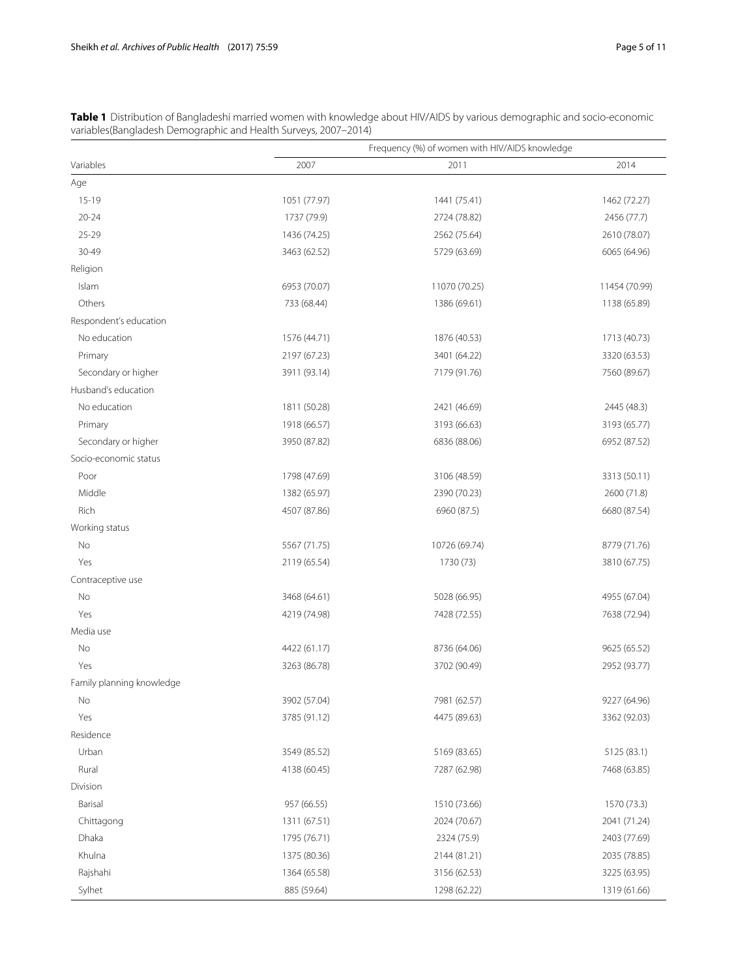| Variables                 | Frequency (%) of women with HIV/AIDS knowledge |               |               |  |
|---------------------------|------------------------------------------------|---------------|---------------|--|
|                           | 2007                                           | 2011          | 2014          |  |
| Age                       |                                                |               |               |  |
| $15 - 19$                 | 1051 (77.97)                                   | 1441 (75.41)  | 1462 (72.27)  |  |
| $20 - 24$                 | 1737 (79.9)                                    | 2724 (78.82)  | 2456 (77.7)   |  |
| $25 - 29$                 | 1436 (74.25)                                   | 2562 (75.64)  | 2610 (78.07)  |  |
| 30-49                     | 3463 (62.52)                                   | 5729 (63.69)  | 6065 (64.96)  |  |
| Religion                  |                                                |               |               |  |
| Islam                     | 6953 (70.07)                                   | 11070 (70.25) | 11454 (70.99) |  |
| Others                    | 733 (68.44)                                    | 1386 (69.61)  | 1138 (65.89)  |  |
| Respondent's education    |                                                |               |               |  |
| No education              | 1576 (44.71)                                   | 1876 (40.53)  | 1713 (40.73)  |  |
| Primary                   | 2197 (67.23)                                   | 3401 (64.22)  | 3320 (63.53)  |  |
| Secondary or higher       | 3911 (93.14)                                   | 7179 (91.76)  | 7560 (89.67)  |  |
| Husband's education       |                                                |               |               |  |
| No education              | 1811 (50.28)                                   | 2421 (46.69)  | 2445 (48.3)   |  |
| Primary                   | 1918 (66.57)                                   | 3193 (66.63)  | 3193 (65.77)  |  |
| Secondary or higher       | 3950 (87.82)                                   | 6836 (88.06)  | 6952 (87.52)  |  |
| Socio-economic status     |                                                |               |               |  |
| Poor                      | 1798 (47.69)                                   | 3106 (48.59)  | 3313 (50.11)  |  |
| Middle                    | 1382 (65.97)                                   | 2390 (70.23)  | 2600 (71.8)   |  |
| Rich                      | 4507 (87.86)                                   | 6960 (87.5)   | 6680 (87.54)  |  |
| Working status            |                                                |               |               |  |
| No                        | 5567 (71.75)                                   | 10726 (69.74) | 8779 (71.76)  |  |
| Yes                       | 2119 (65.54)                                   | 1730 (73)     | 3810 (67.75)  |  |
| Contraceptive use         |                                                |               |               |  |
| No                        | 3468 (64.61)                                   | 5028 (66.95)  | 4955 (67.04)  |  |
| Yes                       | 4219 (74.98)                                   | 7428 (72.55)  | 7638 (72.94)  |  |
| Media use                 |                                                |               |               |  |
| No                        | 4422 (61.17)                                   | 8736 (64.06)  | 9625 (65.52)  |  |
| Yes                       | 3263 (86.78)                                   | 3702 (90.49)  | 2952 (93.77)  |  |
| Family planning knowledge |                                                |               |               |  |
| No                        | 3902 (57.04)                                   | 7981 (62.57)  | 9227 (64.96)  |  |
| Yes                       | 3785 (91.12)                                   | 4475 (89.63)  | 3362 (92.03)  |  |
| Residence                 |                                                |               |               |  |
| Urban                     | 3549 (85.52)                                   | 5169 (83.65)  | 5125 (83.1)   |  |
| Rural                     | 4138 (60.45)                                   | 7287 (62.98)  | 7468 (63.85)  |  |
| Division                  |                                                |               |               |  |
| Barisal                   | 957 (66.55)                                    | 1510 (73.66)  | 1570 (73.3)   |  |
| Chittagong                | 1311 (67.51)                                   | 2024 (70.67)  | 2041 (71.24)  |  |
| Dhaka                     | 1795 (76.71)                                   | 2324 (75.9)   | 2403 (77.69)  |  |
| Khulna                    | 1375 (80.36)                                   | 2144 (81.21)  | 2035 (78.85)  |  |
| Rajshahi                  | 1364 (65.58)                                   | 3156 (62.53)  | 3225 (63.95)  |  |
| Sylhet                    | 885 (59.64)                                    | 1298 (62.22)  | 1319 (61.66)  |  |

<span id="page-4-0"></span>**Table 1** Distribution of Bangladeshi married women with knowledge about HIV/AIDS by various demographic and socio-economic variables(Bangladesh Demographic and Health Surveys, 2007–2014)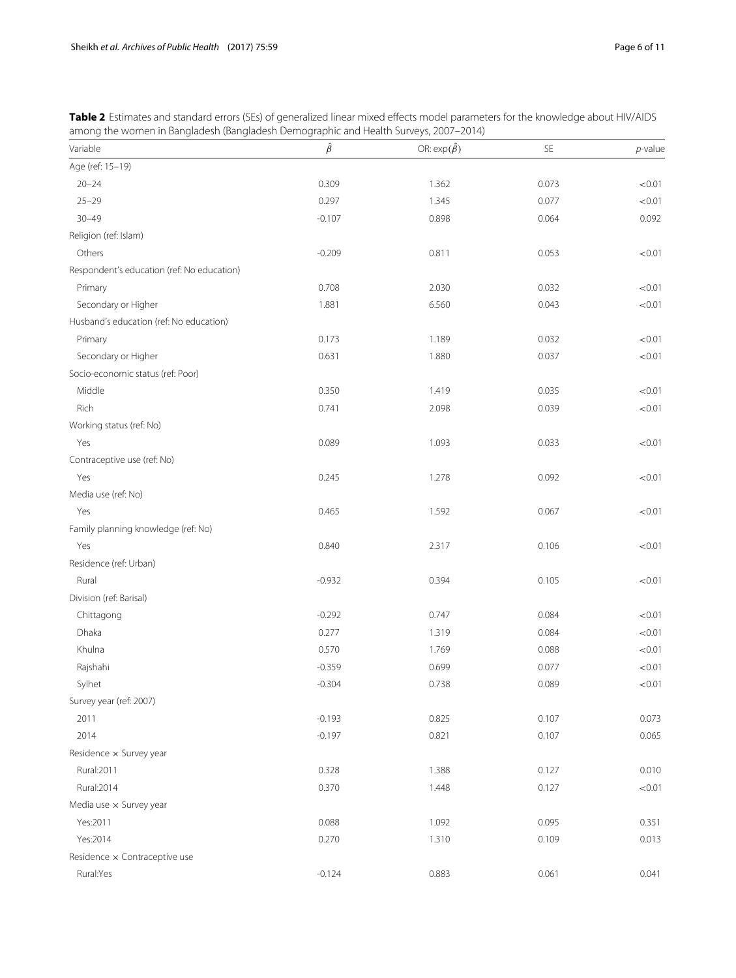<span id="page-5-0"></span>**Table 2** Estimates and standard errors (SEs) of generalized linear mixed effects model parameters for the knowledge about HIV/AIDS among the women in Bangladesh (Bangladesh Demographic and Health Surveys, 2007–2014)

| Variable                                   | $\hat{\beta}$ | OR: $\exp(\hat{\beta})$ | SE    | $p$ -value |
|--------------------------------------------|---------------|-------------------------|-------|------------|
| Age (ref: 15-19)                           |               |                         |       |            |
| $20 - 24$                                  | 0.309         | 1.362                   | 0.073 | < 0.01     |
| $25 - 29$                                  | 0.297         | 1.345                   | 0.077 | < 0.01     |
| $30 - 49$                                  | $-0.107$      | 0.898                   | 0.064 | 0.092      |
| Religion (ref: Islam)                      |               |                         |       |            |
| Others                                     | $-0.209$      | 0.811                   | 0.053 | < 0.01     |
| Respondent's education (ref: No education) |               |                         |       |            |
| Primary                                    | 0.708         | 2.030                   | 0.032 | < 0.01     |
| Secondary or Higher                        | 1.881         | 6.560                   | 0.043 | < 0.01     |
| Husband's education (ref: No education)    |               |                         |       |            |
| Primary                                    | 0.173         | 1.189                   | 0.032 | < 0.01     |
| Secondary or Higher                        | 0.631         | 1.880                   | 0.037 | < 0.01     |
| Socio-economic status (ref: Poor)          |               |                         |       |            |
| Middle                                     | 0.350         | 1.419                   | 0.035 | < 0.01     |
| Rich                                       | 0.741         | 2.098                   | 0.039 | < 0.01     |
| Working status (ref: No)                   |               |                         |       |            |
| Yes                                        | 0.089         | 1.093                   | 0.033 | < 0.01     |
| Contraceptive use (ref: No)                |               |                         |       |            |
| Yes                                        | 0.245         | 1.278                   | 0.092 | < 0.01     |
| Media use (ref: No)                        |               |                         |       |            |
| Yes                                        | 0.465         | 1.592                   | 0.067 | < 0.01     |
| Family planning knowledge (ref: No)        |               |                         |       |            |
| Yes                                        | 0.840         | 2.317                   | 0.106 | < 0.01     |
| Residence (ref: Urban)                     |               |                         |       |            |
| Rural                                      | $-0.932$      | 0.394                   | 0.105 | < 0.01     |
| Division (ref: Barisal)                    |               |                         |       |            |
| Chittagong                                 | $-0.292$      | 0.747                   | 0.084 | < 0.01     |
| Dhaka                                      | 0.277         | 1.319                   | 0.084 | < 0.01     |
| Khulna                                     | 0.570         | 1.769                   | 0.088 | < 0.01     |
| Rajshahi                                   | $-0.359$      | 0.699                   | 0.077 | < 0.01     |
| Sylhet                                     | $-0.304$      | 0.738                   | 0.089 | < 0.01     |
| Survey year (ref: 2007)                    |               |                         |       |            |
| 2011                                       | $-0.193$      | 0.825                   | 0.107 | 0.073      |
| 2014                                       | $-0.197$      | 0.821                   | 0.107 | 0.065      |
| Residence x Survey year                    |               |                         |       |            |
| Rural: 2011                                | 0.328         | 1.388                   | 0.127 | 0.010      |
| Rural:2014                                 | 0.370         | 1.448                   | 0.127 | < 0.01     |
| Media use x Survey year                    |               |                         |       |            |
| Yes:2011                                   | 0.088         | 1.092                   | 0.095 | 0.351      |
| Yes:2014                                   | 0.270         | 1.310                   | 0.109 | 0.013      |
| Residence x Contraceptive use              |               |                         |       |            |
| Rural:Yes                                  | $-0.124$      | 0.883                   | 0.061 | 0.041      |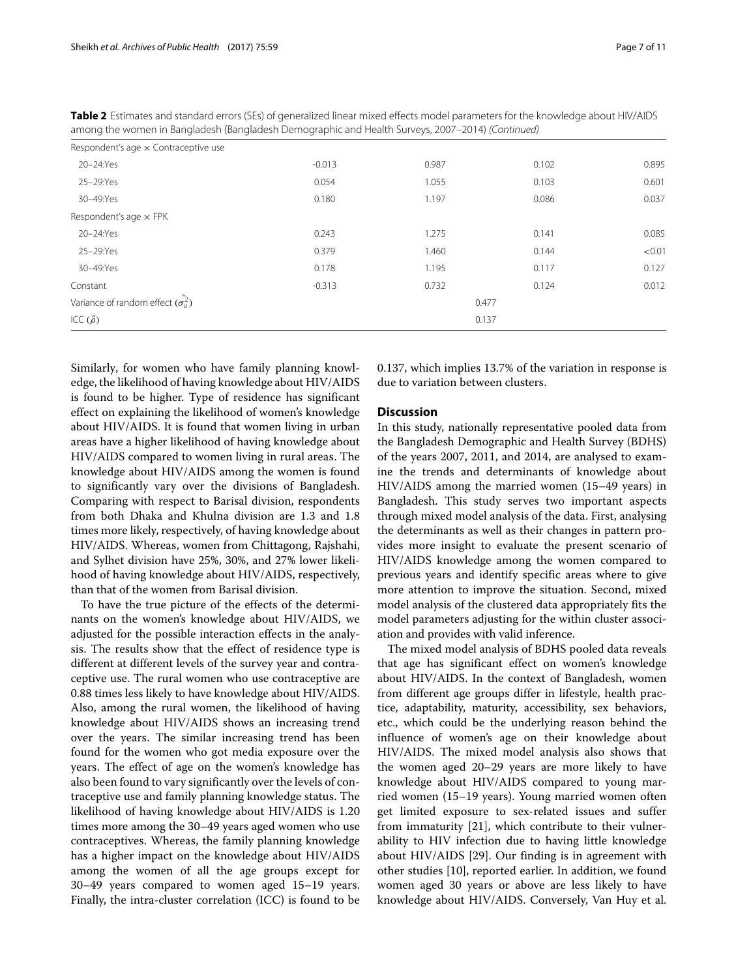| aniong the momentuloangladesh (sangladesh sentrographic and neath san reps) Ever Ty (evitamaca) |          |       |       |        |
|-------------------------------------------------------------------------------------------------|----------|-------|-------|--------|
| Respondent's age x Contraceptive use                                                            |          |       |       |        |
| 20-24:Yes                                                                                       | $-0.013$ | 0.987 | 0.102 | 0.895  |
| 25-29:Yes                                                                                       | 0.054    | 1.055 | 0.103 | 0.601  |
| 30-49:Yes                                                                                       | 0.180    | 1.197 | 0.086 | 0.037  |
| Respondent's age $\times$ FPK                                                                   |          |       |       |        |
| 20-24:Yes                                                                                       | 0.243    | 1.275 | 0.141 | 0.085  |
| 25-29:Yes                                                                                       | 0.379    | 1.460 | 0.144 | < 0.01 |
| 30-49:Yes                                                                                       | 0.178    | 1.195 | 0.117 | 0.127  |
| Constant                                                                                        | $-0.313$ | 0.732 | 0.124 | 0.012  |
| Variance of random effect $(\sigma_u^2)$                                                        |          | 0.477 |       |        |
| ICC $(\hat{\rho})$                                                                              |          | 0.137 |       |        |

**Table 2** Estimates and standard errors (SEs) of generalized linear mixed effects model parameters for the knowledge about HIV/AIDS among the women in Bangladesh (Bangladesh Demographic and Health Surveys, 2007–2014) (Continued)

Similarly, for women who have family planning knowledge, the likelihood of having knowledge about HIV/AIDS is found to be higher. Type of residence has significant effect on explaining the likelihood of women's knowledge about HIV/AIDS. It is found that women living in urban areas have a higher likelihood of having knowledge about HIV/AIDS compared to women living in rural areas. The knowledge about HIV/AIDS among the women is found to significantly vary over the divisions of Bangladesh. Comparing with respect to Barisal division, respondents from both Dhaka and Khulna division are 1.3 and 1.8 times more likely, respectively, of having knowledge about HIV/AIDS. Whereas, women from Chittagong, Rajshahi, and Sylhet division have 25%, 30%, and 27% lower likelihood of having knowledge about HIV/AIDS, respectively, than that of the women from Barisal division.

To have the true picture of the effects of the determinants on the women's knowledge about HIV/AIDS, we adjusted for the possible interaction effects in the analysis. The results show that the effect of residence type is different at different levels of the survey year and contraceptive use. The rural women who use contraceptive are 0.88 times less likely to have knowledge about HIV/AIDS. Also, among the rural women, the likelihood of having knowledge about HIV/AIDS shows an increasing trend over the years. The similar increasing trend has been found for the women who got media exposure over the years. The effect of age on the women's knowledge has also been found to vary significantly over the levels of contraceptive use and family planning knowledge status. The likelihood of having knowledge about HIV/AIDS is 1.20 times more among the 30–49 years aged women who use contraceptives. Whereas, the family planning knowledge has a higher impact on the knowledge about HIV/AIDS among the women of all the age groups except for 30–49 years compared to women aged 15–19 years. Finally, the intra-cluster correlation (ICC) is found to be

0.137, which implies 13.7% of the variation in response is due to variation between clusters.

## **Discussion**

In this study, nationally representative pooled data from the Bangladesh Demographic and Health Survey (BDHS) of the years 2007, 2011, and 2014, are analysed to examine the trends and determinants of knowledge about HIV/AIDS among the married women (15–49 years) in Bangladesh. This study serves two important aspects through mixed model analysis of the data. First, analysing the determinants as well as their changes in pattern provides more insight to evaluate the present scenario of HIV/AIDS knowledge among the women compared to previous years and identify specific areas where to give more attention to improve the situation. Second, mixed model analysis of the clustered data appropriately fits the model parameters adjusting for the within cluster association and provides with valid inference.

The mixed model analysis of BDHS pooled data reveals that age has significant effect on women's knowledge about HIV/AIDS. In the context of Bangladesh, women from different age groups differ in lifestyle, health practice, adaptability, maturity, accessibility, sex behaviors, etc., which could be the underlying reason behind the influence of women's age on their knowledge about HIV/AIDS. The mixed model analysis also shows that the women aged 20–29 years are more likely to have knowledge about HIV/AIDS compared to young married women (15–19 years). Young married women often get limited exposure to sex-related issues and suffer from immaturity [\[21\]](#page-9-19), which contribute to their vulnerability to HIV infection due to having little knowledge about HIV/AIDS [\[29\]](#page-10-4). Our finding is in agreement with other studies [\[10\]](#page-9-8), reported earlier. In addition, we found women aged 30 years or above are less likely to have knowledge about HIV/AIDS. Conversely, Van Huy et al.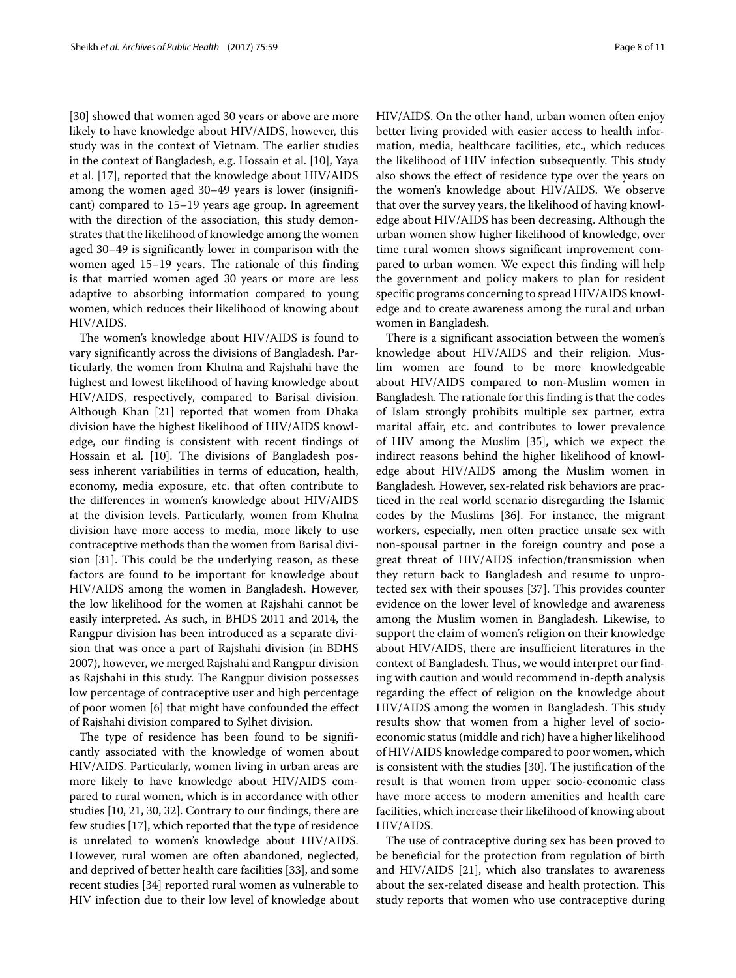[\[30\]](#page-10-5) showed that women aged 30 years or above are more likely to have knowledge about HIV/AIDS, however, this study was in the context of Vietnam. The earlier studies in the context of Bangladesh, e.g. Hossain et al. [\[10\]](#page-9-8), Yaya et al. [\[17\]](#page-9-15), reported that the knowledge about HIV/AIDS among the women aged 30–49 years is lower (insignificant) compared to 15–19 years age group. In agreement with the direction of the association, this study demonstrates that the likelihood of knowledge among the women aged 30–49 is significantly lower in comparison with the women aged 15–19 years. The rationale of this finding is that married women aged 30 years or more are less adaptive to absorbing information compared to young women, which reduces their likelihood of knowing about HIV/AIDS.

The women's knowledge about HIV/AIDS is found to vary significantly across the divisions of Bangladesh. Particularly, the women from Khulna and Rajshahi have the highest and lowest likelihood of having knowledge about HIV/AIDS, respectively, compared to Barisal division. Although Khan [\[21\]](#page-9-19) reported that women from Dhaka division have the highest likelihood of HIV/AIDS knowledge, our finding is consistent with recent findings of Hossain et al. [\[10\]](#page-9-8). The divisions of Bangladesh possess inherent variabilities in terms of education, health, economy, media exposure, etc. that often contribute to the differences in women's knowledge about HIV/AIDS at the division levels. Particularly, women from Khulna division have more access to media, more likely to use contraceptive methods than the women from Barisal division [\[31\]](#page-10-6). This could be the underlying reason, as these factors are found to be important for knowledge about HIV/AIDS among the women in Bangladesh. However, the low likelihood for the women at Rajshahi cannot be easily interpreted. As such, in BHDS 2011 and 2014, the Rangpur division has been introduced as a separate division that was once a part of Rajshahi division (in BDHS 2007), however, we merged Rajshahi and Rangpur division as Rajshahi in this study. The Rangpur division possesses low percentage of contraceptive user and high percentage of poor women [\[6\]](#page-9-5) that might have confounded the effect of Rajshahi division compared to Sylhet division.

The type of residence has been found to be significantly associated with the knowledge of women about HIV/AIDS. Particularly, women living in urban areas are more likely to have knowledge about HIV/AIDS compared to rural women, which is in accordance with other studies [\[10,](#page-9-8) [21,](#page-9-19) [30,](#page-10-5) [32\]](#page-10-7). Contrary to our findings, there are few studies [\[17\]](#page-9-15), which reported that the type of residence is unrelated to women's knowledge about HIV/AIDS. However, rural women are often abandoned, neglected, and deprived of better health care facilities [\[33\]](#page-10-8), and some recent studies [\[34\]](#page-10-9) reported rural women as vulnerable to HIV infection due to their low level of knowledge about HIV/AIDS. On the other hand, urban women often enjoy better living provided with easier access to health information, media, healthcare facilities, etc., which reduces the likelihood of HIV infection subsequently. This study also shows the effect of residence type over the years on the women's knowledge about HIV/AIDS. We observe that over the survey years, the likelihood of having knowledge about HIV/AIDS has been decreasing. Although the urban women show higher likelihood of knowledge, over time rural women shows significant improvement compared to urban women. We expect this finding will help the government and policy makers to plan for resident specific programs concerning to spread HIV/AIDS knowledge and to create awareness among the rural and urban women in Bangladesh.

There is a significant association between the women's knowledge about HIV/AIDS and their religion. Muslim women are found to be more knowledgeable about HIV/AIDS compared to non-Muslim women in Bangladesh. The rationale for this finding is that the codes of Islam strongly prohibits multiple sex partner, extra marital affair, etc. and contributes to lower prevalence of HIV among the Muslim [\[35\]](#page-10-10), which we expect the indirect reasons behind the higher likelihood of knowledge about HIV/AIDS among the Muslim women in Bangladesh. However, sex-related risk behaviors are practiced in the real world scenario disregarding the Islamic codes by the Muslims [\[36\]](#page-10-11). For instance, the migrant workers, especially, men often practice unsafe sex with non-spousal partner in the foreign country and pose a great threat of HIV/AIDS infection/transmission when they return back to Bangladesh and resume to unprotected sex with their spouses [\[37\]](#page-10-12). This provides counter evidence on the lower level of knowledge and awareness among the Muslim women in Bangladesh. Likewise, to support the claim of women's religion on their knowledge about HIV/AIDS, there are insufficient literatures in the context of Bangladesh. Thus, we would interpret our finding with caution and would recommend in-depth analysis regarding the effect of religion on the knowledge about HIV/AIDS among the women in Bangladesh. This study results show that women from a higher level of socioeconomic status (middle and rich) have a higher likelihood of HIV/AIDS knowledge compared to poor women, which is consistent with the studies [\[30\]](#page-10-5). The justification of the result is that women from upper socio-economic class have more access to modern amenities and health care facilities, which increase their likelihood of knowing about HIV/AIDS.

The use of contraceptive during sex has been proved to be beneficial for the protection from regulation of birth and HIV/AIDS [\[21\]](#page-9-19), which also translates to awareness about the sex-related disease and health protection. This study reports that women who use contraceptive during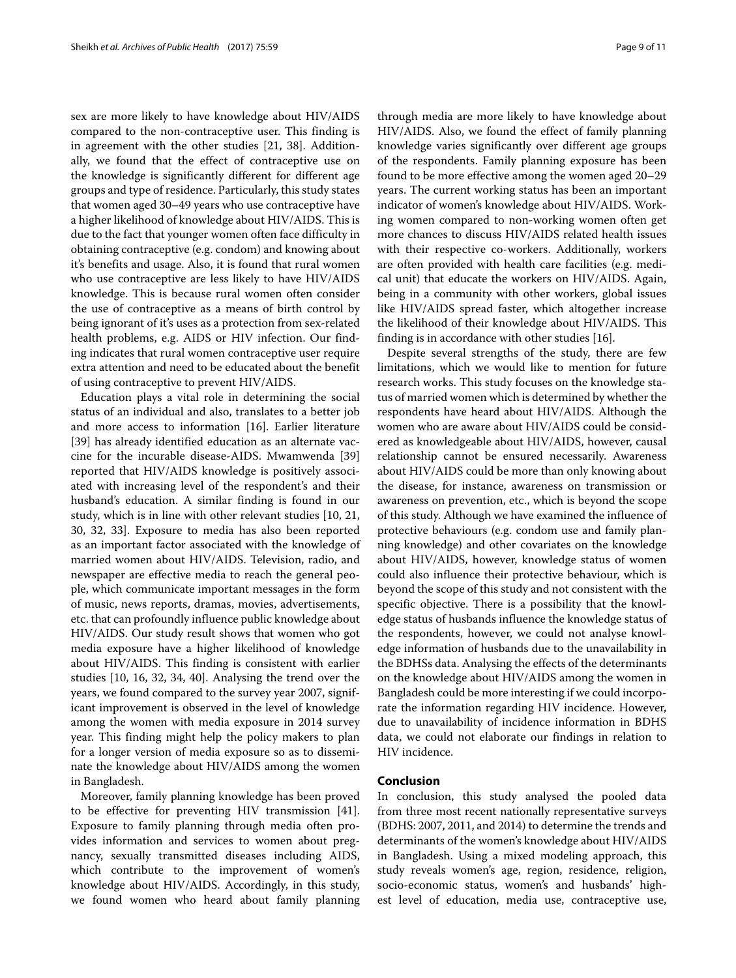sex are more likely to have knowledge about HIV/AIDS compared to the non-contraceptive user. This finding is in agreement with the other studies [\[21,](#page-9-19) [38\]](#page-10-13). Additionally, we found that the effect of contraceptive use on the knowledge is significantly different for different age groups and type of residence. Particularly, this study states that women aged 30–49 years who use contraceptive have a higher likelihood of knowledge about HIV/AIDS. This is due to the fact that younger women often face difficulty in obtaining contraceptive (e.g. condom) and knowing about it's benefits and usage. Also, it is found that rural women who use contraceptive are less likely to have HIV/AIDS knowledge. This is because rural women often consider the use of contraceptive as a means of birth control by being ignorant of it's uses as a protection from sex-related health problems, e.g. AIDS or HIV infection. Our finding indicates that rural women contraceptive user require extra attention and need to be educated about the benefit of using contraceptive to prevent HIV/AIDS.

Education plays a vital role in determining the social status of an individual and also, translates to a better job and more access to information [\[16\]](#page-9-14). Earlier literature [\[39\]](#page-10-14) has already identified education as an alternate vaccine for the incurable disease-AIDS. Mwamwenda [\[39\]](#page-10-14) reported that HIV/AIDS knowledge is positively associated with increasing level of the respondent's and their husband's education. A similar finding is found in our study, which is in line with other relevant studies [\[10,](#page-9-8) [21,](#page-9-19) [30,](#page-10-5) [32,](#page-10-7) [33\]](#page-10-8). Exposure to media has also been reported as an important factor associated with the knowledge of married women about HIV/AIDS. Television, radio, and newspaper are effective media to reach the general people, which communicate important messages in the form of music, news reports, dramas, movies, advertisements, etc. that can profoundly influence public knowledge about HIV/AIDS. Our study result shows that women who got media exposure have a higher likelihood of knowledge about HIV/AIDS. This finding is consistent with earlier studies [\[10,](#page-9-8) [16,](#page-9-14) [32,](#page-10-7) [34,](#page-10-9) [40\]](#page-10-15). Analysing the trend over the years, we found compared to the survey year 2007, significant improvement is observed in the level of knowledge among the women with media exposure in 2014 survey year. This finding might help the policy makers to plan for a longer version of media exposure so as to disseminate the knowledge about HIV/AIDS among the women in Bangladesh.

Moreover, family planning knowledge has been proved to be effective for preventing HIV transmission [\[41\]](#page-10-16). Exposure to family planning through media often provides information and services to women about pregnancy, sexually transmitted diseases including AIDS, which contribute to the improvement of women's knowledge about HIV/AIDS. Accordingly, in this study, we found women who heard about family planning through media are more likely to have knowledge about HIV/AIDS. Also, we found the effect of family planning knowledge varies significantly over different age groups of the respondents. Family planning exposure has been found to be more effective among the women aged 20–29 years. The current working status has been an important indicator of women's knowledge about HIV/AIDS. Working women compared to non-working women often get more chances to discuss HIV/AIDS related health issues with their respective co-workers. Additionally, workers are often provided with health care facilities (e.g. medical unit) that educate the workers on HIV/AIDS. Again, being in a community with other workers, global issues like HIV/AIDS spread faster, which altogether increase the likelihood of their knowledge about HIV/AIDS. This finding is in accordance with other studies [\[16\]](#page-9-14).

Despite several strengths of the study, there are few limitations, which we would like to mention for future research works. This study focuses on the knowledge status of married women which is determined by whether the respondents have heard about HIV/AIDS. Although the women who are aware about HIV/AIDS could be considered as knowledgeable about HIV/AIDS, however, causal relationship cannot be ensured necessarily. Awareness about HIV/AIDS could be more than only knowing about the disease, for instance, awareness on transmission or awareness on prevention, etc., which is beyond the scope of this study. Although we have examined the influence of protective behaviours (e.g. condom use and family planning knowledge) and other covariates on the knowledge about HIV/AIDS, however, knowledge status of women could also influence their protective behaviour, which is beyond the scope of this study and not consistent with the specific objective. There is a possibility that the knowledge status of husbands influence the knowledge status of the respondents, however, we could not analyse knowledge information of husbands due to the unavailability in the BDHSs data. Analysing the effects of the determinants on the knowledge about HIV/AIDS among the women in Bangladesh could be more interesting if we could incorporate the information regarding HIV incidence. However, due to unavailability of incidence information in BDHS data, we could not elaborate our findings in relation to HIV incidence.

## **Conclusion**

In conclusion, this study analysed the pooled data from three most recent nationally representative surveys (BDHS: 2007, 2011, and 2014) to determine the trends and determinants of the women's knowledge about HIV/AIDS in Bangladesh. Using a mixed modeling approach, this study reveals women's age, region, residence, religion, socio-economic status, women's and husbands' highest level of education, media use, contraceptive use,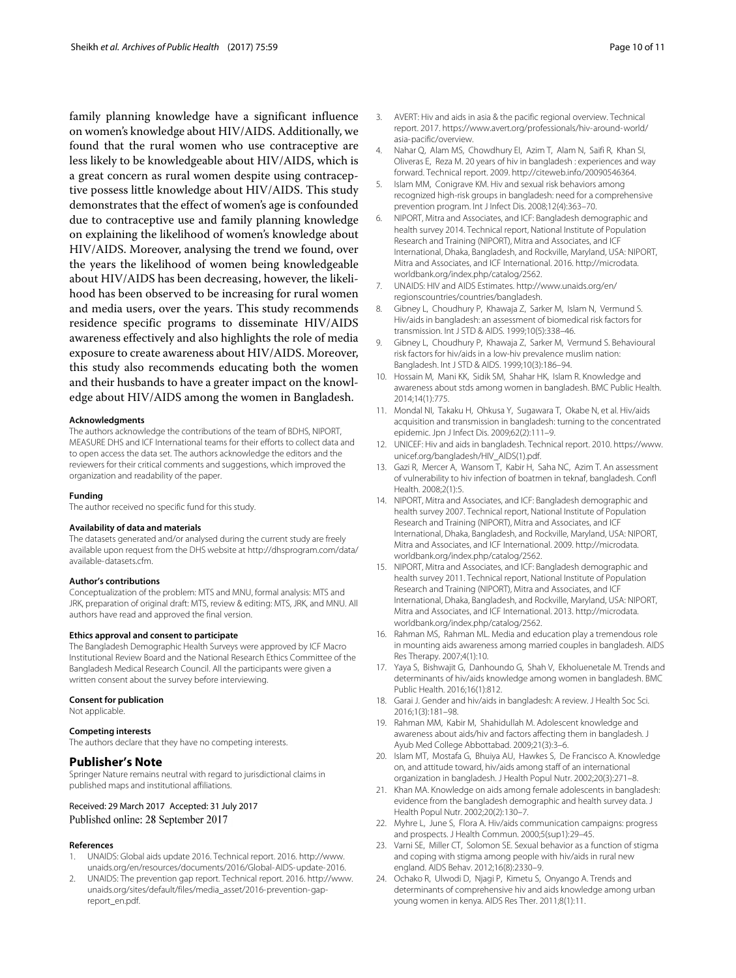family planning knowledge have a significant influence on women's knowledge about HIV/AIDS. Additionally, we found that the rural women who use contraceptive are less likely to be knowledgeable about HIV/AIDS, which is a great concern as rural women despite using contraceptive possess little knowledge about HIV/AIDS. This study demonstrates that the effect of women's age is confounded due to contraceptive use and family planning knowledge on explaining the likelihood of women's knowledge about HIV/AIDS. Moreover, analysing the trend we found, over the years the likelihood of women being knowledgeable about HIV/AIDS has been decreasing, however, the likelihood has been observed to be increasing for rural women and media users, over the years. This study recommends residence specific programs to disseminate HIV/AIDS awareness effectively and also highlights the role of media exposure to create awareness about HIV/AIDS. Moreover, this study also recommends educating both the women and their husbands to have a greater impact on the knowledge about HIV/AIDS among the women in Bangladesh.

#### **Acknowledgments**

The authors acknowledge the contributions of the team of BDHS, NIPORT, MEASURE DHS and ICF International teams for their efforts to collect data and to open access the data set. The authors acknowledge the editors and the reviewers for their critical comments and suggestions, which improved the organization and readability of the paper.

#### **Funding**

The author received no specific fund for this study.

#### **Availability of data and materials**

The datasets generated and/or analysed during the current study are freely available upon request from the DHS website at [http://dhsprogram.com/data/](http://dhsprogram.com/data/available-datasets.cfm) [available-datasets.cfm.](http://dhsprogram.com/data/available-datasets.cfm)

#### **Author's contributions**

Conceptualization of the problem: MTS and MNU, formal analysis: MTS and JRK, preparation of original draft: MTS, review & editing: MTS, JRK, and MNU. All authors have read and approved the final version.

#### **Ethics approval and consent to participate**

The Bangladesh Demographic Health Surveys were approved by ICF Macro Institutional Review Board and the National Research Ethics Committee of the Bangladesh Medical Research Council. All the participants were given a written consent about the survey before interviewing.

#### **Consent for publication**

Not applicable.

#### **Competing interests**

The authors declare that they have no competing interests.

#### **Publisher's Note**

Springer Nature remains neutral with regard to jurisdictional claims in published maps and institutional affiliations.

### Received: 29 March 2017 Accepted: 31 July 2017 Published online: 28 September 2017

#### **References**

- <span id="page-9-0"></span>1. UNAIDS: Global aids update 2016. Technical report. 2016. [http://www.](http://www.unaids.org/en/resources/documents/2016/Global-AIDS-update-2016) [unaids.org/en/resources/documents/2016/Global-AIDS-update-2016.](http://www.unaids.org/en/resources/documents/2016/Global-AIDS-update-2016)
- <span id="page-9-1"></span>2. UNAIDS: The prevention gap report. Technical report. 2016. [http://www.](http://www.unaids.org/sites/default/files/media_asset/2016-prevention-gap-report_en.pdf) [unaids.org/sites/default/files/media\\_asset/2016-prevention-gap](http://www.unaids.org/sites/default/files/media_asset/2016-prevention-gap-report_en.pdf)[report\\_en.pdf.](http://www.unaids.org/sites/default/files/media_asset/2016-prevention-gap-report_en.pdf)
- <span id="page-9-2"></span>3. AVERT: Hiv and aids in asia & the pacific regional overview. Technical report. 2017. [https://www.avert.org/professionals/hiv-around-world/](https://www.avert.org/professionals/hiv-around-world/asia-pacific/overview) [asia-pacific/overview.](https://www.avert.org/professionals/hiv-around-world/asia-pacific/overview)
- <span id="page-9-3"></span>4. Nahar Q, Alam MS, Chowdhury EI, Azim T, Alam N, Saifi R, Khan SI, Oliveras E, Reza M. 20 years of hiv in bangladesh : experiences and way forward. Technical report. 2009. [http://citeweb.info/20090546364.](http://citeweb.info/20090546364)
- <span id="page-9-4"></span>5. Islam MM, Conigrave KM. Hiv and sexual risk behaviors among recognized high-risk groups in bangladesh: need for a comprehensive prevention program. Int J Infect Dis. 2008;12(4):363–70.
- <span id="page-9-5"></span>6. NIPORT, Mitra and Associates, and ICF: Bangladesh demographic and health survey 2014. Technical report, National Institute of Population Research and Training (NIPORT), Mitra and Associates, and ICF International, Dhaka, Bangladesh, and Rockville, Maryland, USA: NIPORT, Mitra and Associates, and ICF International. 2016. [http://microdata.](http://microdata.worldbank.org/index.php/catalog/2562) [worldbank.org/index.php/catalog/2562.](http://microdata.worldbank.org/index.php/catalog/2562)
- <span id="page-9-6"></span>7. UNAIDS: HIV and AIDS Estimates. [http://www.unaids.org/en/](http://www.unaids.org/en/regionscountries/countries/bangladesh) [regionscountries/countries/bangladesh.](http://www.unaids.org/en/regionscountries/countries/bangladesh)
- <span id="page-9-7"></span>8. Gibney L, Choudhury P, Khawaja Z, Sarker M, Islam N, Vermund S. Hiv/aids in bangladesh: an assessment of biomedical risk factors for transmission. Int J STD & AIDS. 1999;10(5):338–46.
- 9. Gibney L, Choudhury P, Khawaja Z, Sarker M, Vermund S. Behavioural risk factors for hiv/aids in a low-hiv prevalence muslim nation: Bangladesh. Int J STD & AIDS. 1999;10(3):186–94.
- <span id="page-9-8"></span>10. Hossain M, Mani KK, Sidik SM, Shahar HK, Islam R. Knowledge and awareness about stds among women in bangladesh. BMC Public Health. 2014;14(1):775.
- <span id="page-9-9"></span>11. Mondal NI, Takaku H, Ohkusa Y, Sugawara T, Okabe N, et al. Hiv/aids acquisition and transmission in bangladesh: turning to the concentrated epidemic. Jpn J Infect Dis. 2009;62(2):111–9.
- <span id="page-9-10"></span>12. UNICEF: Hiv and aids in bangladesh. Technical report. 2010. [https://www.](https://www.unicef.org/bangladesh/HIV_AIDS(1).pdf) [unicef.org/bangladesh/HIV\\_AIDS\(1\).pdf.](https://www.unicef.org/bangladesh/HIV_AIDS(1).pdf)
- <span id="page-9-11"></span>13. Gazi R, Mercer A, Wansom T, Kabir H, Saha NC, Azim T. An assessment of vulnerability to hiv infection of boatmen in teknaf, bangladesh. Confl Health. 2008;2(1):5.
- <span id="page-9-12"></span>14. NIPORT, Mitra and Associates, and ICF: Bangladesh demographic and health survey 2007. Technical report, National Institute of Population Research and Training (NIPORT), Mitra and Associates, and ICF International, Dhaka, Bangladesh, and Rockville, Maryland, USA: NIPORT, Mitra and Associates, and ICF International. 2009. [http://microdata.](http://microdata.worldbank.org/index.php/catalog/2562) [worldbank.org/index.php/catalog/2562.](http://microdata.worldbank.org/index.php/catalog/2562)
- <span id="page-9-13"></span>15. NIPORT, Mitra and Associates, and ICF: Bangladesh demographic and health survey 2011. Technical report, National Institute of Population Research and Training (NIPORT), Mitra and Associates, and ICF International, Dhaka, Bangladesh, and Rockville, Maryland, USA: NIPORT, Mitra and Associates, and ICF International. 2013. [http://microdata.](http://microdata.worldbank.org/index.php/catalog/2562) [worldbank.org/index.php/catalog/2562.](http://microdata.worldbank.org/index.php/catalog/2562)
- <span id="page-9-14"></span>16. Rahman MS, Rahman ML. Media and education play a tremendous role in mounting aids awareness among married couples in bangladesh. AIDS Res Therapy. 2007;4(1):10.
- <span id="page-9-15"></span>17. Yaya S, Bishwajit G, Danhoundo G, Shah V, Ekholuenetale M. Trends and determinants of hiv/aids knowledge among women in bangladesh. BMC Public Health. 2016;16(1):812.
- <span id="page-9-16"></span>18. Garai J. Gender and hiv/aids in bangladesh: A review. J Health Soc Sci. 2016;1(3):181–98.
- <span id="page-9-17"></span>19. Rahman MM, Kabir M, Shahidullah M. Adolescent knowledge and awareness about aids/hiv and factors affecting them in bangladesh. J Ayub Med College Abbottabad. 2009;21(3):3–6.
- <span id="page-9-18"></span>20. Islam MT, Mostafa G, Bhuiya AU, Hawkes S, De Francisco A. Knowledge on, and attitude toward, hiv/aids among staff of an international organization in bangladesh. J Health Popul Nutr. 2002;20(3):271–8.
- <span id="page-9-19"></span>21. Khan MA. Knowledge on aids among female adolescents in bangladesh: evidence from the bangladesh demographic and health survey data. J Health Popul Nutr. 2002;20(2):130–7.
- <span id="page-9-20"></span>22. Myhre L, June S, Flora A. Hiv/aids communication campaigns: progress and prospects. J Health Commun. 2000;5(sup1):29–45.
- <span id="page-9-21"></span>23. Varni SE, Miller CT, Solomon SE. Sexual behavior as a function of stigma and coping with stigma among people with hiv/aids in rural new england. AIDS Behav. 2012;16(8):2330–9.
- <span id="page-9-22"></span>24. Ochako R, Ulwodi D, Njagi P, Kimetu S, Onyango A. Trends and determinants of comprehensive hiv and aids knowledge among urban young women in kenya. AIDS Res Ther. 2011;8(1):11.